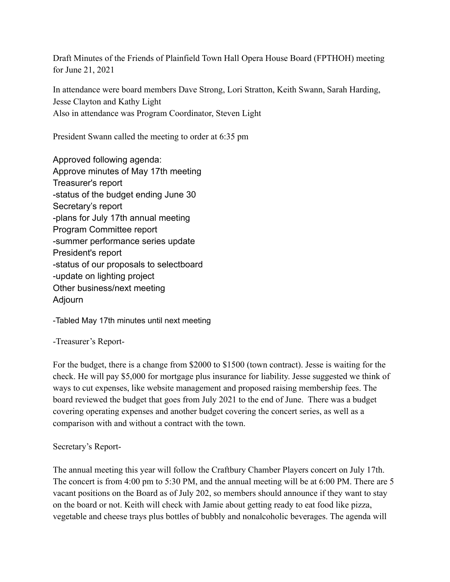Draft Minutes of the Friends of Plainfield Town Hall Opera House Board (FPTHOH) meeting for June 21, 2021

In attendance were board members Dave Strong, Lori Stratton, Keith Swann, Sarah Harding, Jesse Clayton and Kathy Light Also in attendance was Program Coordinator, Steven Light

President Swann called the meeting to order at 6:35 pm

Approved following agenda: Approve minutes of May 17th meeting Treasurer's report -status of the budget ending June 30 Secretary's report -plans for July 17th annual meeting Program Committee report -summer performance series update President's report -status of our proposals to selectboard -update on lighting project Other business/next meeting Adjourn

-Tabled May 17th minutes until next meeting

-Treasurer's Report-

For the budget, there is a change from \$2000 to \$1500 (town contract). Jesse is waiting for the check. He will pay \$5,000 for mortgage plus insurance for liability. Jesse suggested we think of ways to cut expenses, like website management and proposed raising membership fees. The board reviewed the budget that goes from July 2021 to the end of June. There was a budget covering operating expenses and another budget covering the concert series, as well as a comparison with and without a contract with the town.

## Secretary's Report-

The annual meeting this year will follow the Craftbury Chamber Players concert on July 17th. The concert is from 4:00 pm to 5:30 PM, and the annual meeting will be at 6:00 PM. There are 5 vacant positions on the Board as of July 202, so members should announce if they want to stay on the board or not. Keith will check with Jamie about getting ready to eat food like pizza, vegetable and cheese trays plus bottles of bubbly and nonalcoholic beverages. The agenda will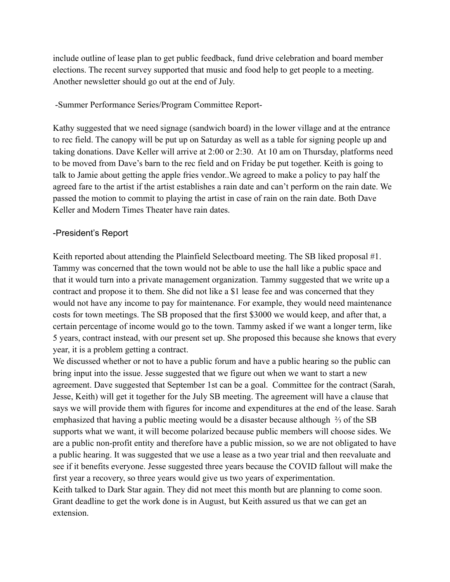include outline of lease plan to get public feedback, fund drive celebration and board member elections. The recent survey supported that music and food help to get people to a meeting. Another newsletter should go out at the end of July.

## -Summer Performance Series/Program Committee Report-

Kathy suggested that we need signage (sandwich board) in the lower village and at the entrance to rec field. The canopy will be put up on Saturday as well as a table for signing people up and taking donations. Dave Keller will arrive at 2:00 or 2:30. At 10 am on Thursday, platforms need to be moved from Dave's barn to the rec field and on Friday be put together. Keith is going to talk to Jamie about getting the apple fries vendor..We agreed to make a policy to pay half the agreed fare to the artist if the artist establishes a rain date and can't perform on the rain date. We passed the motion to commit to playing the artist in case of rain on the rain date. Both Dave Keller and Modern Times Theater have rain dates.

## -President's Report

Keith reported about attending the Plainfield Selectboard meeting. The SB liked proposal #1. Tammy was concerned that the town would not be able to use the hall like a public space and that it would turn into a private management organization. Tammy suggested that we write up a contract and propose it to them. She did not like a \$1 lease fee and was concerned that they would not have any income to pay for maintenance. For example, they would need maintenance costs for town meetings. The SB proposed that the first \$3000 we would keep, and after that, a certain percentage of income would go to the town. Tammy asked if we want a longer term, like 5 years, contract instead, with our present set up. She proposed this because she knows that every year, it is a problem getting a contract.

We discussed whether or not to have a public forum and have a public hearing so the public can bring input into the issue. Jesse suggested that we figure out when we want to start a new agreement. Dave suggested that September 1st can be a goal. Committee for the contract (Sarah, Jesse, Keith) will get it together for the July SB meeting. The agreement will have a clause that says we will provide them with figures for income and expenditures at the end of the lease. Sarah emphasized that having a public meeting would be a disaster because although ⅔ of the SB supports what we want, it will become polarized because public members will choose sides. We are a public non-profit entity and therefore have a public mission, so we are not obligated to have a public hearing. It was suggested that we use a lease as a two year trial and then reevaluate and see if it benefits everyone. Jesse suggested three years because the COVID fallout will make the first year a recovery, so three years would give us two years of experimentation. Keith talked to Dark Star again. They did not meet this month but are planning to come soon. Grant deadline to get the work done is in August, but Keith assured us that we can get an

extension.